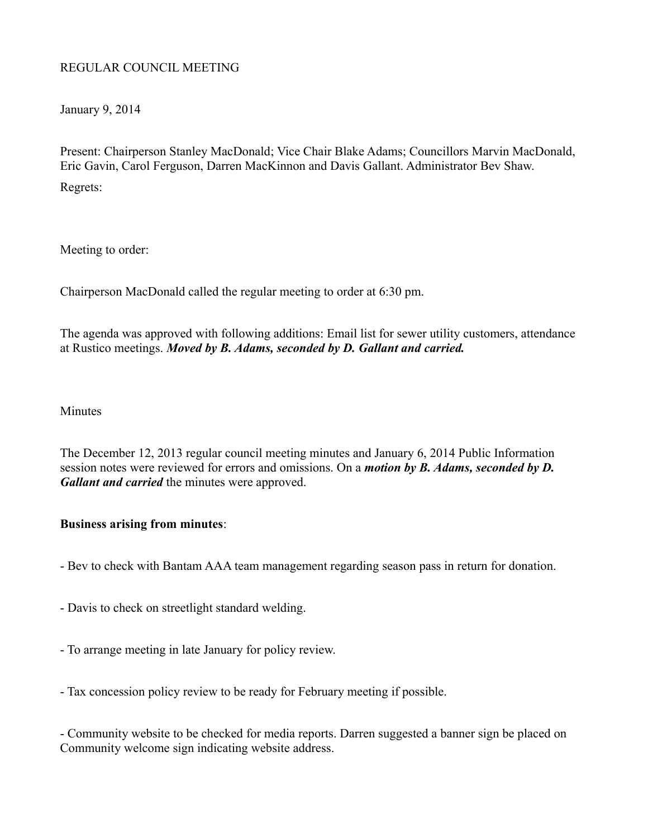## REGULAR COUNCIL MEETING

January 9, 2014

Present: Chairperson Stanley MacDonald; Vice Chair Blake Adams; Councillors Marvin MacDonald, Eric Gavin, Carol Ferguson, Darren MacKinnon and Davis Gallant. Administrator Bev Shaw. Regrets:

Meeting to order:

Chairperson MacDonald called the regular meeting to order at 6:30 pm.

The agenda was approved with following additions: Email list for sewer utility customers, attendance at Rustico meetings. *Moved by B. Adams, seconded by D. Gallant and carried.*

**Minutes** 

The December 12, 2013 regular council meeting minutes and January 6, 2014 Public Information session notes were reviewed for errors and omissions. On a *motion by B. Adams, seconded by D. Gallant and carried* the minutes were approved.

## **Business arising from minutes**:

- Bev to check with Bantam AAA team management regarding season pass in return for donation.
- Davis to check on streetlight standard welding.
- To arrange meeting in late January for policy review.
- Tax concession policy review to be ready for February meeting if possible.

- Community website to be checked for media reports. Darren suggested a banner sign be placed on Community welcome sign indicating website address.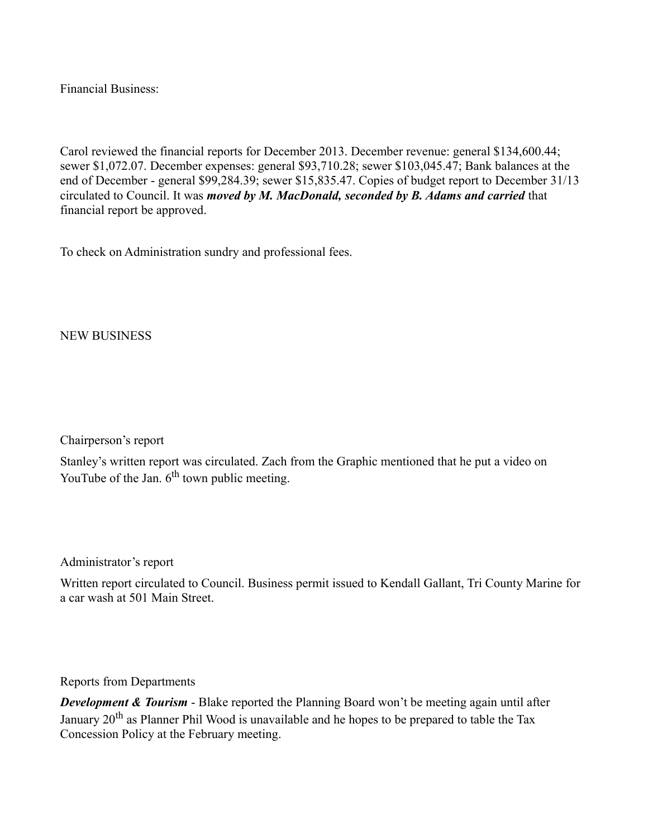Financial Business:

Carol reviewed the financial reports for December 2013. December revenue: general \$134,600.44; sewer \$1,072.07. December expenses: general \$93,710.28; sewer \$103,045.47; Bank balances at the end of December - general \$99,284.39; sewer \$15,835.47. Copies of budget report to December 31/13 circulated to Council. It was *moved by M. MacDonald, seconded by B. Adams and carried* that financial report be approved.

To check on Administration sundry and professional fees.

NEW BUSINESS

Chairperson's report

Stanley's written report was circulated. Zach from the Graphic mentioned that he put a video on YouTube of the Jan.  $6<sup>th</sup>$  town public meeting.

Administrator's report

Written report circulated to Council. Business permit issued to Kendall Gallant, Tri County Marine for a car wash at 501 Main Street.

Reports from Departments

*Development & Tourism* - Blake reported the Planning Board won't be meeting again until after January  $20<sup>th</sup>$  as Planner Phil Wood is unavailable and he hopes to be prepared to table the Tax Concession Policy at the February meeting.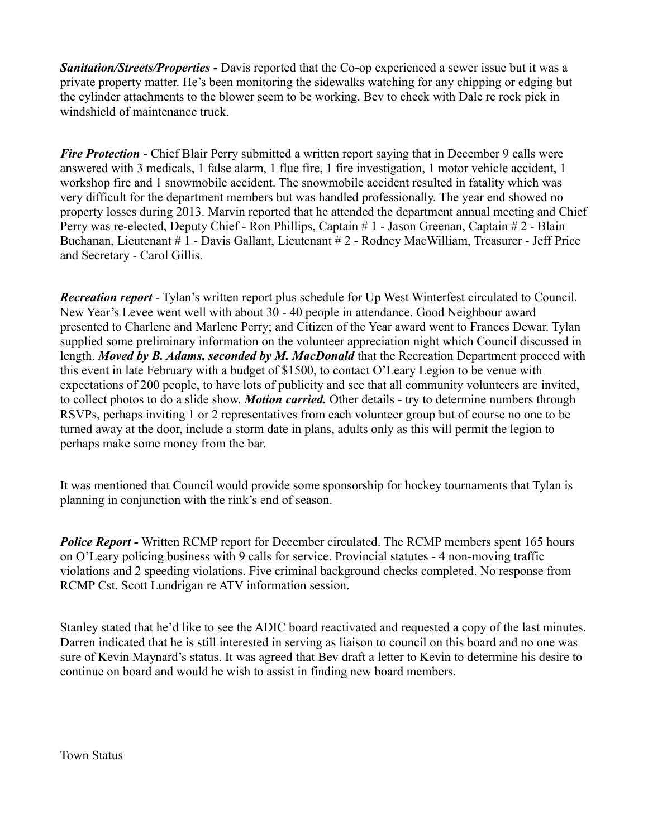*Sanitation/Streets/Properties -* Davis reported that the Co-op experienced a sewer issue but it was a private property matter. He's been monitoring the sidewalks watching for any chipping or edging but the cylinder attachments to the blower seem to be working. Bev to check with Dale re rock pick in windshield of maintenance truck.

*Fire Protection* - Chief Blair Perry submitted a written report saying that in December 9 calls were answered with 3 medicals, 1 false alarm, 1 flue fire, 1 fire investigation, 1 motor vehicle accident, 1 workshop fire and 1 snowmobile accident. The snowmobile accident resulted in fatality which was very difficult for the department members but was handled professionally. The year end showed no property losses during 2013. Marvin reported that he attended the department annual meeting and Chief Perry was re-elected, Deputy Chief - Ron Phillips, Captain # 1 - Jason Greenan, Captain # 2 - Blain Buchanan, Lieutenant # 1 - Davis Gallant, Lieutenant # 2 - Rodney MacWilliam, Treasurer - Jeff Price and Secretary - Carol Gillis.

*Recreation report* - Tylan's written report plus schedule for Up West Winterfest circulated to Council. New Year's Levee went well with about 30 - 40 people in attendance. Good Neighbour award presented to Charlene and Marlene Perry; and Citizen of the Year award went to Frances Dewar. Tylan supplied some preliminary information on the volunteer appreciation night which Council discussed in length. *Moved by B. Adams, seconded by M. MacDonald* that the Recreation Department proceed with this event in late February with a budget of \$1500, to contact O'Leary Legion to be venue with expectations of 200 people, to have lots of publicity and see that all community volunteers are invited, to collect photos to do a slide show. *Motion carried.* Other details - try to determine numbers through RSVPs, perhaps inviting 1 or 2 representatives from each volunteer group but of course no one to be turned away at the door, include a storm date in plans, adults only as this will permit the legion to perhaps make some money from the bar.

It was mentioned that Council would provide some sponsorship for hockey tournaments that Tylan is planning in conjunction with the rink's end of season.

*Police Report -* Written RCMP report for December circulated. The RCMP members spent 165 hours on O'Leary policing business with 9 calls for service. Provincial statutes - 4 non-moving traffic violations and 2 speeding violations. Five criminal background checks completed. No response from RCMP Cst. Scott Lundrigan re ATV information session.

Stanley stated that he'd like to see the ADIC board reactivated and requested a copy of the last minutes. Darren indicated that he is still interested in serving as liaison to council on this board and no one was sure of Kevin Maynard's status. It was agreed that Bev draft a letter to Kevin to determine his desire to continue on board and would he wish to assist in finding new board members.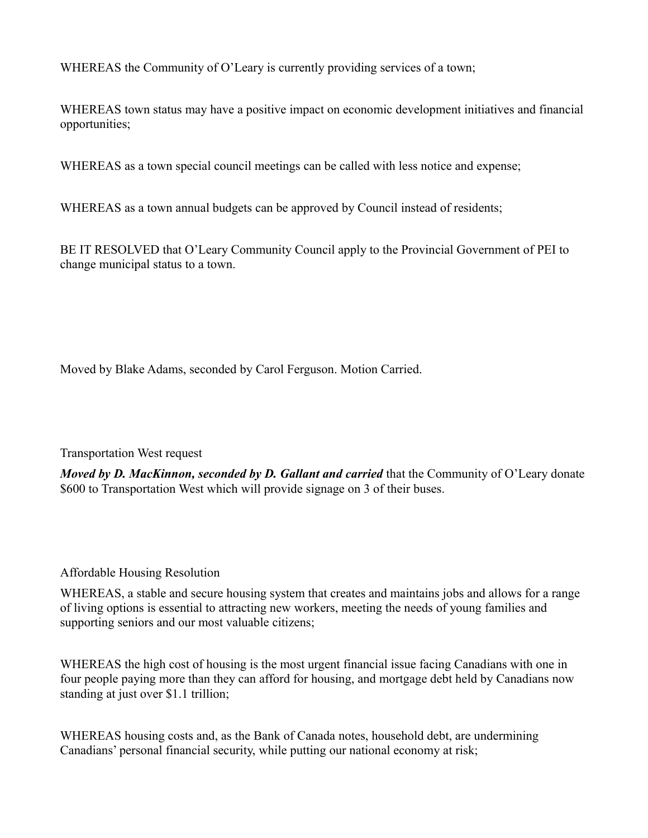WHEREAS the Community of O'Leary is currently providing services of a town;

WHEREAS town status may have a positive impact on economic development initiatives and financial opportunities;

WHEREAS as a town special council meetings can be called with less notice and expense;

WHEREAS as a town annual budgets can be approved by Council instead of residents;

BE IT RESOLVED that O'Leary Community Council apply to the Provincial Government of PEI to change municipal status to a town.

Moved by Blake Adams, seconded by Carol Ferguson. Motion Carried.

Transportation West request

*Moved by D. MacKinnon, seconded by D. Gallant and carried* that the Community of O'Leary donate \$600 to Transportation West which will provide signage on 3 of their buses.

## Affordable Housing Resolution

WHEREAS, a stable and secure housing system that creates and maintains jobs and allows for a range of living options is essential to attracting new workers, meeting the needs of young families and supporting seniors and our most valuable citizens;

WHEREAS the high cost of housing is the most urgent financial issue facing Canadians with one in four people paying more than they can afford for housing, and mortgage debt held by Canadians now standing at just over \$1.1 trillion;

WHEREAS housing costs and, as the Bank of Canada notes, household debt, are undermining Canadians' personal financial security, while putting our national economy at risk;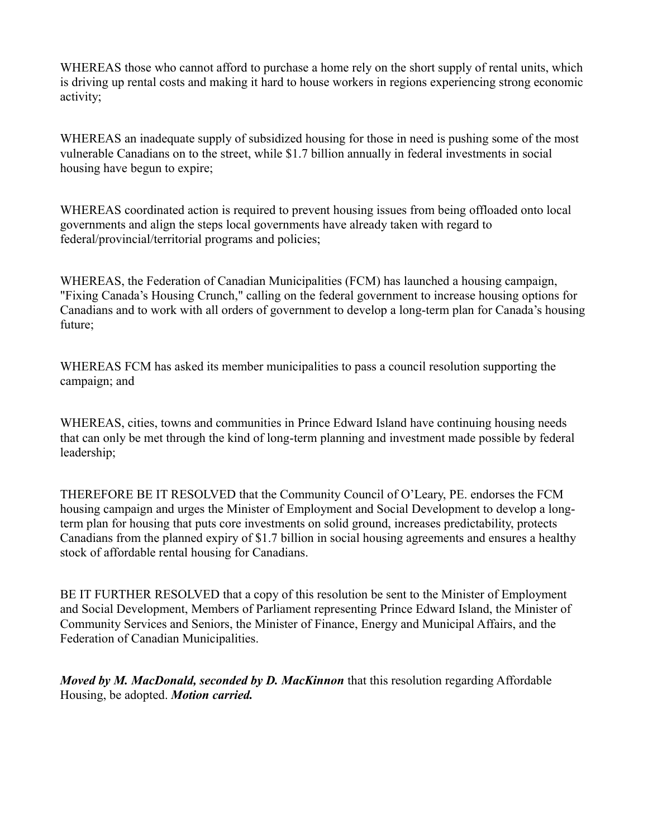WHEREAS those who cannot afford to purchase a home rely on the short supply of rental units, which is driving up rental costs and making it hard to house workers in regions experiencing strong economic activity;

WHEREAS an inadequate supply of subsidized housing for those in need is pushing some of the most vulnerable Canadians on to the street, while \$1.7 billion annually in federal investments in social housing have begun to expire;

WHEREAS coordinated action is required to prevent housing issues from being offloaded onto local governments and align the steps local governments have already taken with regard to federal/provincial/territorial programs and policies;

WHEREAS, the Federation of Canadian Municipalities (FCM) has launched a housing campaign, "Fixing Canada's Housing Crunch," calling on the federal government to increase housing options for Canadians and to work with all orders of government to develop a long-term plan for Canada's housing future;

WHEREAS FCM has asked its member municipalities to pass a council resolution supporting the campaign; and

WHEREAS, cities, towns and communities in Prince Edward Island have continuing housing needs that can only be met through the kind of long-term planning and investment made possible by federal leadership;

THEREFORE BE IT RESOLVED that the Community Council of O'Leary, PE. endorses the FCM housing campaign and urges the Minister of Employment and Social Development to develop a longterm plan for housing that puts core investments on solid ground, increases predictability, protects Canadians from the planned expiry of \$1.7 billion in social housing agreements and ensures a healthy stock of affordable rental housing for Canadians.

BE IT FURTHER RESOLVED that a copy of this resolution be sent to the Minister of Employment and Social Development, Members of Parliament representing Prince Edward Island, the Minister of Community Services and Seniors, the Minister of Finance, Energy and Municipal Affairs, and the Federation of Canadian Municipalities.

*Moved by M. MacDonald, seconded by D. MacKinnon* that this resolution regarding Affordable Housing, be adopted. *Motion carried.*